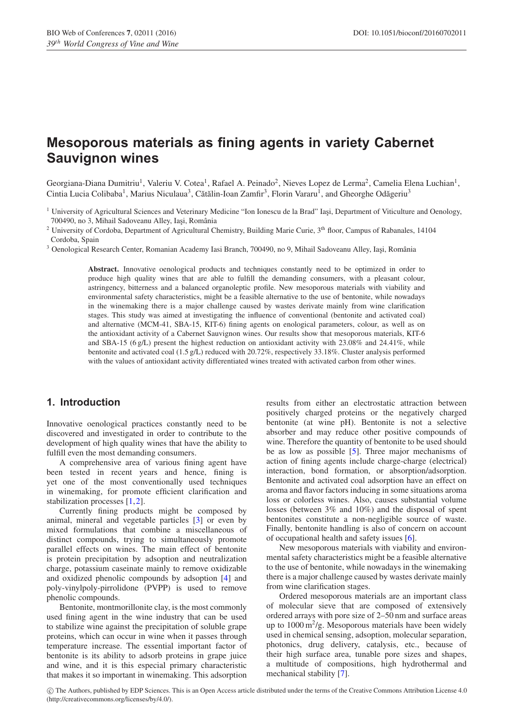# **Mesoporous materials as fining agents in variety Cabernet Sauvignon wines**

Georgiana-Diana Dumitriu<sup>1</sup>, Valeriu V. Cotea<sup>1</sup>, Rafael A. Peinado<sup>2</sup>, Nieves Lopez de Lerma<sup>2</sup>, Camelia Elena Luchian<sup>1</sup>, Cintia Lucia Colibaba<sup>1</sup>, Marius Niculaua<sup>3</sup>, Cătălin-Ioan Zamfir<sup>3</sup>, Florin Vararu<sup>1</sup>, and Gheorghe Odăgeriu<sup>3</sup>

<sup>1</sup> University of Agricultural Sciences and Veterinary Medicine "Ion Ionescu de la Brad" Iaşi, Department of Viticulture and Oenology, 700490, no 3, Mihail Sadoveanu Alley, Iaşi, România

<sup>2</sup> University of Cordoba, Department of Agricultural Chemistry, Building Marie Curie, 3<sup>th</sup> floor, Campus of Rabanales, 14104 Cordoba, Spain

<sup>3</sup> Oenological Research Center, Romanian Academy Iasi Branch, 700490, no 9, Mihail Sadoveanu Alley, Iasi, România

**Abstract.** Innovative oenological products and techniques constantly need to be optimized in order to produce high quality wines that are able to fulfill the demanding consumers, with a pleasant colour, astringency, bitterness and a balanced organoleptic profile. New mesoporous materials with viability and environmental safety characteristics, might be a feasible alternative to the use of bentonite, while nowadays in the winemaking there is a major challenge caused by wastes derivate mainly from wine clarification stages. This study was aimed at investigating the influence of conventional (bentonite and activated coal) and alternative (MCM-41, SBA-15, KIT-6) fining agents on enological parameters, colour, as well as on the antioxidant activity of a Cabernet Sauvignon wines. Our results show that mesoporous materials, KIT-6 and SBA-15 (6 g/L) present the highest reduction on antioxidant activity with 23.08% and 24.41%, while bentonite and activated coal (1.5 g/L) reduced with 20.72%, respectively 33.18%. Cluster analysis performed with the values of antioxidant activity differentiated wines treated with activated carbon from other wines.

#### **1. Introduction**

Innovative oenological practices constantly need to be discovered and investigated in order to contribute to the development of high quality wines that have the ability to fulfill even the most demanding consumers.

A comprehensive area of various fining agent have been tested in recent years and hence, fining is yet one of the most conventionally used techniques in winemaking, for promote efficient clarification and stabilization processes [\[1](#page-3-0),[2\]](#page-3-1).

Currently fining products might be composed by animal, mineral and vegetable particles [\[3](#page-3-2)] or even by mixed formulations that combine a miscellaneous of distinct compounds, trying to simultaneously promote parallel effects on wines. The main effect of bentonite is protein precipitation by adsoption and neutralization charge, potassium caseinate mainly to remove oxidizable and oxidized phenolic compounds by adsoption [\[4\]](#page-3-3) and poly-vinylpoly-pirrolidone (PVPP) is used to remove phenolic compounds.

Bentonite, montmorillonite clay, is the most commonly used fining agent in the wine industry that can be used to stabilize wine against the precipitation of soluble grape proteins, which can occur in wine when it passes through temperature increase. The essential important factor of bentonite is its ability to adsorb proteins in grape juice and wine, and it is this especial primary characteristic that makes it so important in winemaking. This adsorption results from either an electrostatic attraction between positively charged proteins or the negatively charged bentonite (at wine pH). Bentonite is not a selective absorber and may reduce other positive compounds of wine. Therefore the quantity of bentonite to be used should be as low as possible [\[5](#page-3-4)]. Three major mechanisms of action of fining agents include charge-charge (electrical) interaction, bond formation, or absorption/adsorption. Bentonite and activated coal adsorption have an effect on aroma and flavor factors inducing in some situations aroma loss or colorless wines. Also, causes substantial volume losses (between 3% and 10%) and the disposal of spent bentonites constitute a non-negligible source of waste. Finally, bentonite handling is also of concern on account of occupational health and safety issues [\[6\]](#page-3-5).

New mesoporous materials with viability and environmental safety characteristics might be a feasible alternative to the use of bentonite, while nowadays in the winemaking there is a major challenge caused by wastes derivate mainly from wine clarification stages.

Ordered mesoporous materials are an important class of molecular sieve that are composed of extensively ordered arrays with pore size of 2–50 nm and surface areas up to  $1000 \,\mathrm{m}^2/\mathrm{g}$ . Mesoporous materials have been widely used in chemical sensing, adsoption, molecular separation, photonics, drug delivery, catalysis, etc., because of their high surface area, tunable pore sizes and shapes, a multitude of compositions, high hydrothermal and mechanical stability [\[7\]](#page-3-6).

c The Authors, published by EDP Sciences. This is an Open Access article distributed under the terms of the Creative Commons Attribution License 4.0 (http://creativecommons.org/licenses/by/4.0/).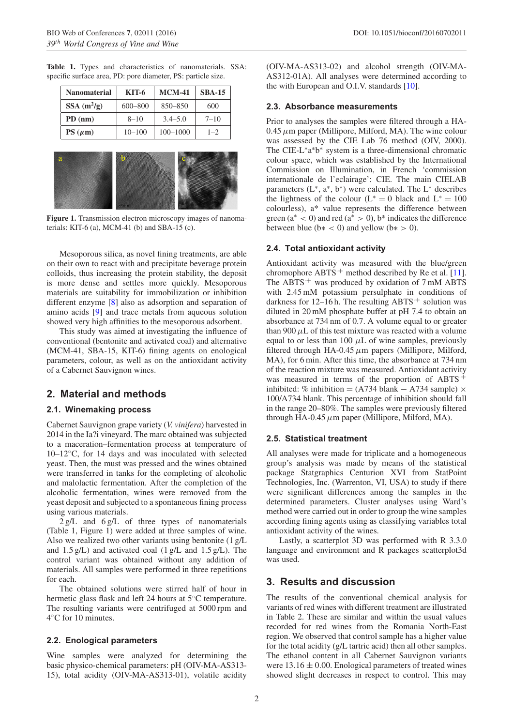**Table 1.** Types and characteristics of nanomaterials. SSA: specific surface area, PD: pore diameter, PS: particle size.

| Nanomaterial | KIT-6       | <b>MCM-41</b> | <b>SBA-15</b> |
|--------------|-------------|---------------|---------------|
| $SSA(m^2/g)$ | $600 - 800$ | $850 - 850$   | 600           |
| $PD$ (nm)    | $8 - 10$    | $3.4 - 5.0$   | $7 - 10$      |
| $PS(\mu m)$  | $10 - 100$  | $100 - 1000$  | $1 - 2$       |
|              |             |               |               |



**Figure 1.** Transmission electron microscopy images of nanomaterials: KIT-6 (a), MCM-41 (b) and SBA-15 (c).

Mesoporous silica, as novel fining treatments, are able on their own to react with and precipitate beverage protein colloids, thus increasing the protein stability, the deposit is more dense and settles more quickly. Mesoporous materials are suitability for immobilization or inhibition different enzyme [\[8\]](#page-3-7) also as adsorption and separation of amino acids [\[9\]](#page-3-8) and trace metals from aqueous solution showed very high affinities to the mesoporous adsorbent.

This study was aimed at investigating the influence of conventional (bentonite and activated coal) and alternative (MCM-41, SBA-15, KIT-6) fining agents on enological parameters, colour, as well as on the antioxidant activity of a Cabernet Sauvignon wines.

### **2. Material and methods**

#### **2.1. Winemaking process**

Cabernet Sauvignon grape variety (*V. vinifera*) harvested in 2014 in the Ia?i vineyard. The marc obtained was subjected to a maceration–fermentation process at temperature of 10–12◦C, for 14 days and was inoculated with selected yeast. Then, the must was pressed and the wines obtained were transferred in tanks for the completing of alcoholic and malolactic fermentation. After the completion of the alcoholic fermentation, wines were removed from the yeast deposit and subjected to a spontaneous fining process using various materials.

2 g/L and 6 g/L of three types of nanomaterials (Table 1, Figure 1) were added at three samples of wine. Also we realized two other variants using bentonite (1 g/L and  $1.5 g/L$ ) and activated coal  $(1 g/L$  and  $1.5 g/L$ ). The control variant was obtained without any addition of materials. All samples were performed in three repetitions for each.

The obtained solutions were stirred half of hour in hermetic glass flask and left 24 hours at 5◦C temperature. The resulting variants were centrifuged at 5000 rpm and 4◦C for 10 minutes.

#### **2.2. Enological parameters**

Wine samples were analyzed for determining the basic physico-chemical parameters: pH (OIV-MA-AS313- 15), total acidity (OIV-MA-AS313-01), volatile acidity (OIV-MA-AS313-02) and alcohol strength (OIV-MA-AS312-01A). All analyses were determined according to the with European and O.I.V. standards [\[10](#page-3-9)].

#### **2.3. Absorbance measurements**

Prior to analyses the samples were filtered through a HA- $0.45 \mu$ m paper (Millipore, Milford, MA). The wine colour was assessed by the CIE Lab 76 method (OIV, 2000). The CIE-L∗a∗b<sup>∗</sup> system is a three-dimensional chromatic colour space, which was established by the International Commission on Illumination, in French 'commission internationale de l'eclairage': CIE. The main CIELAB parameters  $(L^*, a^*, b^*)$  were calculated. The  $L^*$  describes the lightness of the colour ( $L^* = 0$  black and  $L^* = 100$ colourless), a\* value represents the difference between green (a<sup>∗</sup> *<* 0) and red (a<sup>∗</sup> *>* 0), b\* indicates the difference between blue ( $b* < 0$ ) and yellow ( $b* > 0$ ).

#### **2.4. Total antioxidant activity**

Antioxidant activity was measured with the blue/green chromophore  $ABTS^+$  method described by Re et al. [\[11](#page-3-10)]. The ABTS<sup> $+$ </sup> was produced by oxidation of 7 mM ABTS with 2.45 mM potassium persulphate in conditions of darkness for 12–16 h. The resulting  $ABTS^+$  solution was diluted in 20 mM phosphate buffer at pH 7.4 to obtain an absorbance at 734 nm of 0.7. A volume equal to or greater than 900  $\mu$ L of this test mixture was reacted with a volume equal to or less than 100  $\mu$ L of wine samples, previously filtered through HA-0.45*µ*m papers (Millipore, Milford, MA), for 6 min. After this time, the absorbance at 734 nm of the reaction mixture was measured. Antioxidant activity was measured in terms of the proportion of ABTS<sup>+</sup> inhibited: % inhibition = (A734 blank – A734 sample)  $\times$ 100/A734 blank. This percentage of inhibition should fall in the range 20–80%. The samples were previously filtered through HA-0.45*µ*m paper (Millipore, Milford, MA).

#### **2.5. Statistical treatment**

All analyses were made for triplicate and a homogeneous group's analysis was made by means of the statistical package Statgraphics Centurion XVI from StatPoint Technologies, Inc. (Warrenton, VI, USA) to study if there were significant differences among the samples in the determined parameters. Cluster analyses using Ward's method were carried out in order to group the wine samples according fining agents using as classifying variables total antioxidant activity of the wines.

Lastly, a scatterplot 3D was performed with R 3.3.0 language and environment and R packages scatterplot3d was used.

## **3. Results and discussion**

The results of the conventional chemical analysis for variants of red wines with different treatment are illustrated in Table 2. These are similar and within the usual values recorded for red wines from the Romania North-East region. We observed that control sample has a higher value for the total acidity (g/L tartric acid) then all other samples. The ethanol content in all Cabernet Sauvignon variants were  $13.16 \pm 0.00$ . Enological parameters of treated wines showed slight decreases in respect to control. This may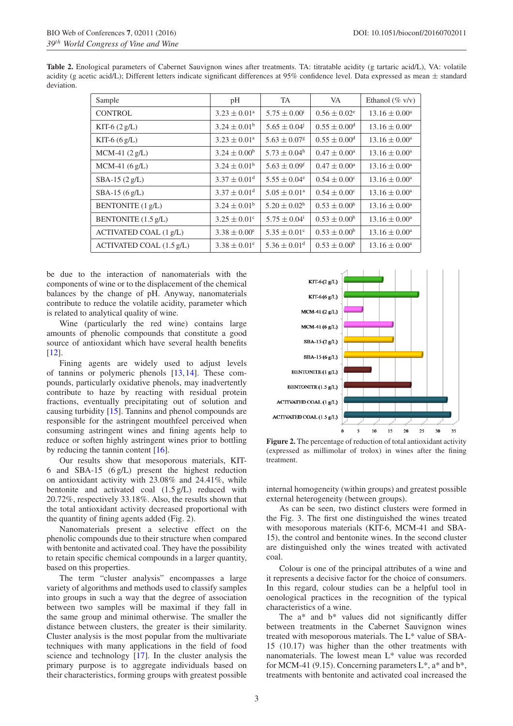| <b>Table 2.</b> Enological parameters of Cabernet Sauvignon wines after treatments. TA: titratable acidity (g tartaric acid/L), VA: volatile |  |
|----------------------------------------------------------------------------------------------------------------------------------------------|--|
| acidity (g acetic acid/L); Different letters indicate significant differences at 95% confidence level. Data expressed as mean $\pm$ standard |  |
| deviation.                                                                                                                                   |  |

| Sample                             | pH                           | <b>TA</b>                    | VA.                          | Ethanol ( $\%$ v/v)      |
|------------------------------------|------------------------------|------------------------------|------------------------------|--------------------------|
| <b>CONTROL</b>                     | $3.23 \pm 0.01^a$            | $5.75 \pm 0.00^{\text{i}}$   | $0.56 \pm 0.02^e$            | $13.16 \pm 0.00^{\circ}$ |
| KIT-6 $(2 g/L)$                    | $3.24 \pm 0.01^b$            | $5.65 \pm 0.04$              | $0.55 \pm 0.00$ <sup>d</sup> | $13.16 \pm 0.00^{\circ}$ |
| KIT-6 $(6 g/L)$                    | $3.23 \pm 0.01^a$            | $5.63 \pm 0.07$ <sup>g</sup> | $0.55 \pm 0.00$ <sup>d</sup> | $13.16 \pm 0.00^{\circ}$ |
| $MCM-41 (2 g/L)$                   | $3.24 \pm 0.00^b$            | $5.73 \pm 0.04^{\rm h}$      | $0.47 \pm 0.00^{\circ}$      | $13.16 \pm 0.00^{\circ}$ |
| $MCM-41 (6 g/L)$                   | $3.24 \pm 0.01^b$            | $5.63 \pm 0.09$ <sup>f</sup> | $0.47 \pm 0.00^{\circ}$      | $13.16 \pm 0.00^{\circ}$ |
| $SBA-15(2 g/L)$                    | $3.37 \pm 0.01$ <sup>d</sup> | $5.55 \pm 0.04^e$            | $0.54 \pm 0.00^{\circ}$      | $13.16 \pm 0.00^{\circ}$ |
| $SBA-15(6 g/L)$                    | $3.37 \pm 0.01$ <sup>d</sup> | $5.05 \pm 0.01^{\circ}$      | $0.54 \pm 0.00^{\circ}$      | $13.16 \pm 0.00^{\circ}$ |
| <b>BENTONITE</b> (1 g/L)           | $3.24 \pm 0.01^{\rm b}$      | $5.20 \pm 0.02^b$            | $0.53 \pm 0.00^b$            | $13.16 \pm 0.00^{\circ}$ |
| BENTONITE $(1.5 \text{ g/L})$      | $3.25 \pm 0.01^{\circ}$      | $5.75 \pm 0.04^i$            | $0.53 \pm 0.00^b$            | $13.16 \pm 0.00^a$       |
| ACTIVATED COAL (1 g/L)             | $3.38 \pm 0.00^e$            | $5.35 \pm 0.01^c$            | $0.53 \pm 0.00^b$            | $13.16 \pm 0.00^{\circ}$ |
| ACTIVATED COAL $(1.5 \text{ g/L})$ | $3.38 \pm 0.01^e$            | $5.36 \pm 0.01$ <sup>d</sup> | $0.53 \pm 0.00^b$            | $13.16 \pm 0.00^{\circ}$ |

be due to the interaction of nanomaterials with the components of wine or to the displacement of the chemical balances by the change of pH. Anyway, nanomaterials contribute to reduce the volatile acidity, parameter which is related to analytical quality of wine.

Wine (particularly the red wine) contains large amounts of phenolic compounds that constitute a good source of antioxidant which have several health benefits [\[12](#page-3-11)].

Fining agents are widely used to adjust levels of tannins or polymeric phenols [\[13,](#page-3-12)[14](#page-3-13)]. These compounds, particularly oxidative phenols, may inadvertently contribute to haze by reacting with residual protein fractions, eventually precipitating out of solution and causing turbidity [\[15](#page-3-14)]. Tannins and phenol compounds are responsible for the astringent mouthfeel perceived when consuming astringent wines and fining agents help to reduce or soften highly astringent wines prior to bottling by reducing the tannin content [\[16](#page-3-15)].

Our results show that mesoporous materials, KIT-6 and SBA-15 (6 g/L) present the highest reduction on antioxidant activity with 23.08% and 24.41%, while bentonite and activated coal (1.5 g/L) reduced with 20.72%, respectively 33.18%. Also, the results shown that the total antioxidant activity decreased proportional with the quantity of fining agents added (Fig. 2).

Nanomaterials present a selective effect on the phenolic compounds due to their structure when compared with bentonite and activated coal. They have the possibility to retain specific chemical compounds in a larger quantity, based on this properties.

The term "cluster analysis" encompasses a large variety of algorithms and methods used to classify samples into groups in such a way that the degree of association between two samples will be maximal if they fall in the same group and minimal otherwise. The smaller the distance between clusters, the greater is their similarity. Cluster analysis is the most popular from the multivariate techniques with many applications in the field of food science and technology [\[17](#page-3-16)]. In the cluster analysis the primary purpose is to aggregate individuals based on their characteristics, forming groups with greatest possible



**Figure 2.** The percentage of reduction of total antioxidant activity (expressed as millimolar of trolox) in wines after the fining treatment.

internal homogeneity (within groups) and greatest possible external heterogeneity (between groups).

As can be seen, two distinct clusters were formed in the Fig. 3. The first one distinguished the wines treated with mesoporous materials (KIT-6, MCM-41 and SBA-15), the control and bentonite wines. In the second cluster are distinguished only the wines treated with activated coal.

Colour is one of the principal attributes of a wine and it represents a decisive factor for the choice of consumers. In this regard, colour studies can be a helpful tool in oenological practices in the recognition of the typical characteristics of a wine.

The a\* and b\* values did not significantly differ between treatments in the Cabernet Sauvignon wines treated with mesoporous materials. The L\* value of SBA-15 (10.17) was higher than the other treatments with nanomaterials. The lowest mean L\* value was recorded for MCM-41 (9.15). Concerning parameters  $L^*$ ,  $a^*$  and  $b^*$ , treatments with bentonite and activated coal increased the